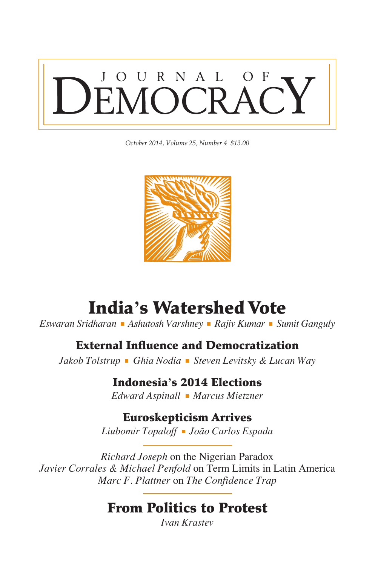

*October 2014, Volume 25, Number 4 \$13.00*



# India**'**s Watershed Vote

*Eswaran Sridharan* ■ Ashutosh Varshney ■ Rajiv Kumar ■ Sumit Ganguly

# External Influence and Democratization

*Jakob Tolstrup Ghia Nodia Steven Levitsky & Lucan Way*

# Indonesia**'**s 2014 Elections

*Edward Aspinall Marcus Mietzner*

# Euroskepticism Arrives

*Liubomir Topaloff Jo~ao Carlos Espada*

*Richard Joseph* on the Nigerian Paradox *Javier Corrales & Michael Penfold* on Term Limits in Latin America *Marc F. Plattner* on *The Confidence Trap*

# From Politics to Protest

*Ivan Krastev*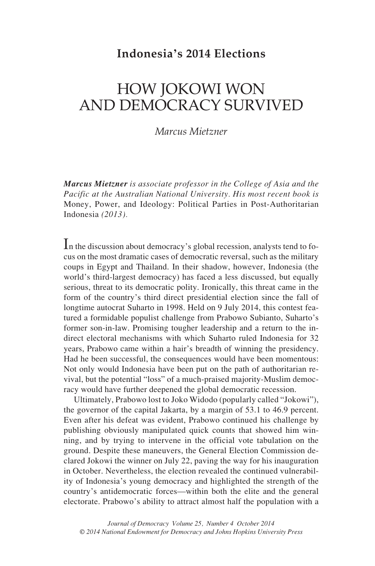## **Indonesia's 2014 Elections**

# How Jokowi Won and Democracy Survived

*Marcus Mietzner*

*Marcus Mietzner is associate professor in the College of Asia and the Pacific at the Australian National University. His most recent book is*  Money, Power, and Ideology: Political Parties in Post-Authoritarian Indonesia *(2013).*

In the discussion about democracy's global recession, analysts tend to focus on the most dramatic cases of democratic reversal, such as the military coups in Egypt and Thailand. In their shadow, however, Indonesia (the world's third-largest democracy) has faced a less discussed, but equally serious, threat to its democratic polity. Ironically, this threat came in the form of the country's third direct presidential election since the fall of longtime autocrat Suharto in 1998. Held on 9 July 2014, this contest featured a formidable populist challenge from Prabowo Subianto, Suharto's former son-in-law. Promising tougher leadership and a return to the indirect electoral mechanisms with which Suharto ruled Indonesia for 32 years, Prabowo came within a hair's breadth of winning the presidency. Had he been successful, the consequences would have been momentous: Not only would Indonesia have been put on the path of authoritarian revival, but the potential "loss" of a much-praised majority-Muslim democracy would have further deepened the global democratic recession.

Ultimately, Prabowo lost to Joko Widodo (popularly called "Jokowi"), the governor of the capital Jakarta, by a margin of 53.1 to 46.9 percent. Even after his defeat was evident, Prabowo continued his challenge by publishing obviously manipulated quick counts that showed him winning, and by trying to intervene in the official vote tabulation on the ground. Despite these maneuvers, the General Election Commission declared Jokowi the winner on July 22, paving the way for his inauguration in October. Nevertheless, the election revealed the continued vulnerability of Indonesia's young democracy and highlighted the strength of the country's antidemocratic forces—within both the elite and the general electorate. Prabowo's ability to attract almost half the population with a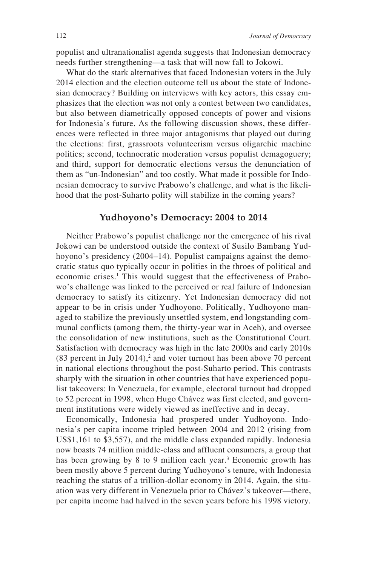populist and ultranationalist agenda suggests that Indonesian democracy needs further strengthening—a task that will now fall to Jokowi.

What do the stark alternatives that faced Indonesian voters in the July 2014 election and the election outcome tell us about the state of Indonesian democracy? Building on interviews with key actors, this essay emphasizes that the election was not only a contest between two candidates, but also between diametrically opposed concepts of power and visions for Indonesia's future. As the following discussion shows, these differences were reflected in three major antagonisms that played out during the elections: first, grassroots volunteerism versus oligarchic machine politics; second, technocratic moderation versus populist demagoguery; and third, support for democratic elections versus the denunciation of them as "un-Indonesian" and too costly. What made it possible for Indonesian democracy to survive Prabowo's challenge, and what is the likelihood that the post-Suharto polity will stabilize in the coming years?

## **Yudhoyono's Democracy: 2004 to 2014**

Neither Prabowo's populist challenge nor the emergence of his rival Jokowi can be understood outside the context of Susilo Bambang Yudhoyono's presidency (2004–14). Populist campaigns against the democratic status quo typically occur in polities in the throes of political and economic crises.<sup>1</sup> This would suggest that the effectiveness of Prabowo's challenge was linked to the perceived or real failure of Indonesian democracy to satisfy its citizenry. Yet Indonesian democracy did not appear to be in crisis under Yudhoyono. Politically, Yudhoyono managed to stabilize the previously unsettled system, end longstanding communal conflicts (among them, the thirty-year war in Aceh), and oversee the consolidation of new institutions, such as the Constitutional Court. Satisfaction with democracy was high in the late 2000s and early 2010s  $(83$  percent in July 2014),<sup>2</sup> and voter turnout has been above 70 percent in national elections throughout the post-Suharto period. This contrasts sharply with the situation in other countries that have experienced populist takeovers: In Venezuela, for example, electoral turnout had dropped to 52 percent in 1998, when Hugo Chávez was first elected, and government institutions were widely viewed as ineffective and in decay.

Economically, Indonesia had prospered under Yudhoyono. Indonesia's per capita income tripled between 2004 and 2012 (rising from US\$1,161 to \$3,557), and the middle class expanded rapidly. Indonesia now boasts 74 million middle-class and affluent consumers, a group that has been growing by 8 to 9 million each year.<sup>3</sup> Economic growth has been mostly above 5 percent during Yudhoyono's tenure, with Indonesia reaching the status of a trillion-dollar economy in 2014. Again, the situation was very different in Venezuela prior to Chávez's takeover—there, per capita income had halved in the seven years before his 1998 victory.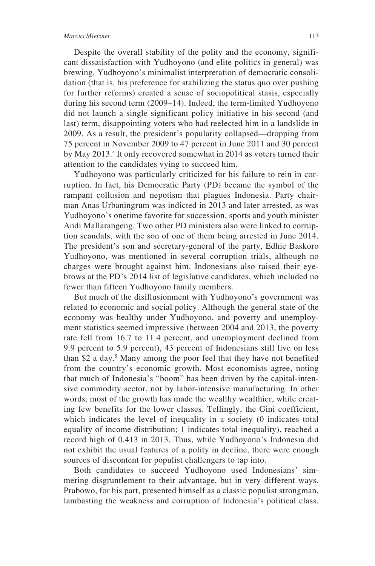Despite the overall stability of the polity and the economy, significant dissatisfaction with Yudhoyono (and elite politics in general) was brewing. Yudhoyono's minimalist interpretation of democratic consolidation (that is, his preference for stabilizing the status quo over pushing for further reforms) created a sense of sociopolitical stasis, especially during his second term (2009–14). Indeed, the term-limited Yudhoyono did not launch a single significant policy initiative in his second (and last) term, disappointing voters who had reelected him in a landslide in 2009. As a result, the president's popularity collapsed—dropping from 75 percent in November 2009 to 47 percent in June 2011 and 30 percent by May 2013.4 It only recovered somewhat in 2014 as voters turned their attention to the candidates vying to succeed him.

Yudhoyono was particularly criticized for his failure to rein in corruption. In fact, his Democratic Party (PD) became the symbol of the rampant collusion and nepotism that plagues Indonesia. Party chairman Anas Urbaningrum was indicted in 2013 and later arrested, as was Yudhoyono's onetime favorite for succession, sports and youth minister Andi Mallarangeng. Two other PD ministers also were linked to corruption scandals, with the son of one of them being arrested in June 2014. The president's son and secretary-general of the party, Edhie Baskoro Yudhoyono, was mentioned in several corruption trials, although no charges were brought against him. Indonesians also raised their eyebrows at the PD's 2014 list of legislative candidates, which included no fewer than fifteen Yudhoyono family members.

But much of the disillusionment with Yudhoyono's government was related to economic and social policy. Although the general state of the economy was healthy under Yudhoyono, and poverty and unemployment statistics seemed impressive (between 2004 and 2013, the poverty rate fell from 16.7 to 11.4 percent, and unemployment declined from 9.9 percent to 5.9 percent), 43 percent of Indonesians still live on less than \$2 a day.5 Many among the poor feel that they have not benefited from the country's economic growth. Most economists agree, noting that much of Indonesia's "boom" has been driven by the capital-intensive commodity sector, not by labor-intensive manufacturing. In other words, most of the growth has made the wealthy wealthier, while creating few benefits for the lower classes. Tellingly, the Gini coefficient, which indicates the level of inequality in a society (0 indicates total equality of income distribution; 1 indicates total inequality), reached a record high of 0.413 in 2013. Thus, while Yudhoyono's Indonesia did not exhibit the usual features of a polity in decline, there were enough sources of discontent for populist challengers to tap into.

Both candidates to succeed Yudhoyono used Indonesians' simmering disgruntlement to their advantage, but in very different ways. Prabowo, for his part, presented himself as a classic populist strongman, lambasting the weakness and corruption of Indonesia's political class.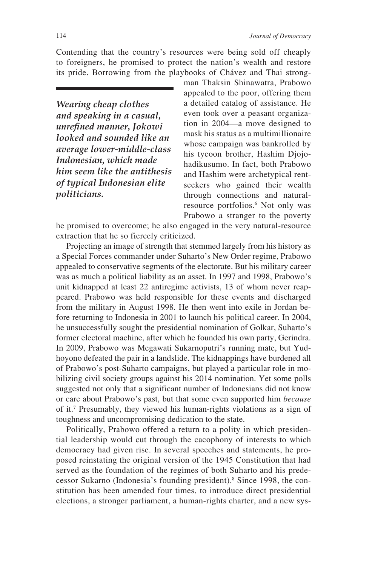Contending that the country's resources were being sold off cheaply to foreigners, he promised to protect the nation's wealth and restore its pride. Borrowing from the playbooks of Chávez and Thai strong-

*Wearing cheap clothes and speaking in a casual, unrefined manner, Jokowi looked and sounded like an average lower-middle-class Indonesian, which made him seem like the antithesis of typical Indonesian elite politicians.*

man Thaksin Shinawatra, Prabowo appealed to the poor, offering them a detailed catalog of assistance. He even took over a peasant organization in 2004—a move designed to mask his status as a multimillionaire whose campaign was bankrolled by his tycoon brother, Hashim Djojohadikusumo. In fact, both Prabowo and Hashim were archetypical rentseekers who gained their wealth through connections and naturalresource portfolios.<sup>6</sup> Not only was Prabowo a stranger to the poverty

he promised to overcome; he also engaged in the very natural-resource extraction that he so fiercely criticized.

Projecting an image of strength that stemmed largely from his history as a Special Forces commander under Suharto's New Order regime, Prabowo appealed to conservative segments of the electorate. But his military career was as much a political liability as an asset. In 1997 and 1998, Prabowo's unit kidnapped at least 22 antiregime activists, 13 of whom never reappeared. Prabowo was held responsible for these events and discharged from the military in August 1998. He then went into exile in Jordan before returning to Indonesia in 2001 to launch his political career. In 2004, he unsuccessfully sought the presidential nomination of Golkar, Suharto's former electoral machine, after which he founded his own party, Gerindra. In 2009, Prabowo was Megawati Sukarnoputri's running mate, but Yudhoyono defeated the pair in a landslide. The kidnappings have burdened all of Prabowo's post-Suharto campaigns, but played a particular role in mobilizing civil society groups against his 2014 nomination. Yet some polls suggested not only that a significant number of Indonesians did not know or care about Prabowo's past, but that some even supported him *because* of it.7 Presumably, they viewed his human-rights violations as a sign of toughness and uncompromising dedication to the state.

Politically, Prabowo offered a return to a polity in which presidential leadership would cut through the cacophony of interests to which democracy had given rise. In several speeches and statements, he proposed reinstating the original version of the 1945 Constitution that had served as the foundation of the regimes of both Suharto and his predecessor Sukarno (Indonesia's founding president).8 Since 1998, the constitution has been amended four times, to introduce direct presidential elections, a stronger parliament, a human-rights charter, and a new sys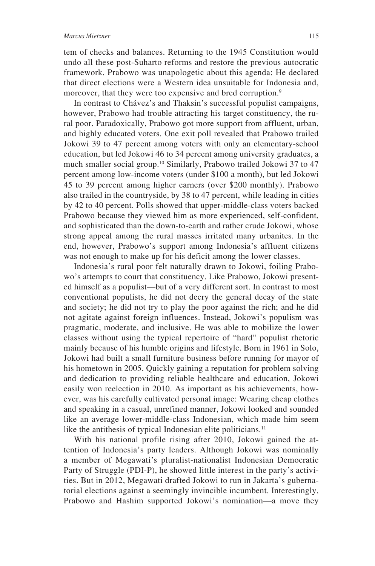tem of checks and balances. Returning to the 1945 Constitution would undo all these post-Suharto reforms and restore the previous autocratic framework. Prabowo was unapologetic about this agenda: He declared that direct elections were a Western idea unsuitable for Indonesia and, moreover, that they were too expensive and bred corruption.<sup>9</sup>

In contrast to Chávez's and Thaksin's successful populist campaigns, however, Prabowo had trouble attracting his target constituency, the rural poor. Paradoxically, Prabowo got more support from affluent, urban, and highly educated voters. One exit poll revealed that Prabowo trailed Jokowi 39 to 47 percent among voters with only an elementary-school education, but led Jokowi 46 to 34 percent among university graduates, a much smaller social group.<sup>10</sup> Similarly, Prabowo trailed Jokowi 37 to 47 percent among low-income voters (under \$100 a month), but led Jokowi 45 to 39 percent among higher earners (over \$200 monthly). Prabowo also trailed in the countryside, by 38 to 47 percent, while leading in cities by 42 to 40 percent. Polls showed that upper-middle-class voters backed Prabowo because they viewed him as more experienced, self-confident, and sophisticated than the down-to-earth and rather crude Jokowi, whose strong appeal among the rural masses irritated many urbanites. In the end, however, Prabowo's support among Indonesia's affluent citizens was not enough to make up for his deficit among the lower classes.

Indonesia's rural poor felt naturally drawn to Jokowi, foiling Prabowo's attempts to court that constituency. Like Prabowo, Jokowi presented himself as a populist—but of a very different sort. In contrast to most conventional populists, he did not decry the general decay of the state and society; he did not try to play the poor against the rich; and he did not agitate against foreign influences. Instead, Jokowi's populism was pragmatic, moderate, and inclusive. He was able to mobilize the lower classes without using the typical repertoire of "hard" populist rhetoric mainly because of his humble origins and lifestyle. Born in 1961 in Solo, Jokowi had built a small furniture business before running for mayor of his hometown in 2005. Quickly gaining a reputation for problem solving and dedication to providing reliable healthcare and education, Jokowi easily won reelection in 2010. As important as his achievements, however, was his carefully cultivated personal image: Wearing cheap clothes and speaking in a casual, unrefined manner, Jokowi looked and sounded like an average lower-middle-class Indonesian, which made him seem like the antithesis of typical Indonesian elite politicians.<sup>11</sup>

With his national profile rising after 2010, Jokowi gained the attention of Indonesia's party leaders. Although Jokowi was nominally a member of Megawati's pluralist-nationalist Indonesian Democratic Party of Struggle (PDI-P), he showed little interest in the party's activities. But in 2012, Megawati drafted Jokowi to run in Jakarta's gubernatorial elections against a seemingly invincible incumbent. Interestingly, Prabowo and Hashim supported Jokowi's nomination—a move they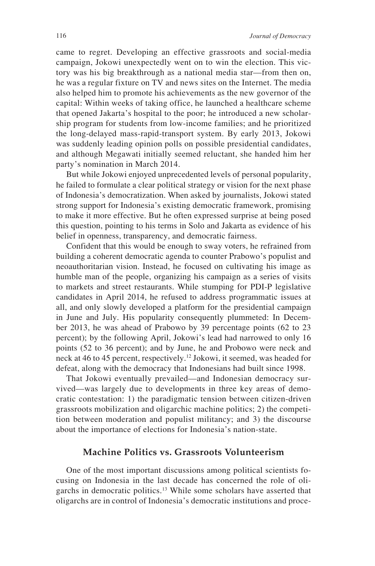came to regret. Developing an effective grassroots and social-media campaign, Jokowi unexpectedly went on to win the election. This victory was his big breakthrough as a national media star—from then on, he was a regular fixture on TV and news sites on the Internet. The media also helped him to promote his achievements as the new governor of the capital: Within weeks of taking office, he launched a healthcare scheme that opened Jakarta's hospital to the poor; he introduced a new scholarship program for students from low-income families; and he prioritized the long-delayed mass-rapid-transport system. By early 2013, Jokowi was suddenly leading opinion polls on possible presidential candidates, and although Megawati initially seemed reluctant, she handed him her party's nomination in March 2014.

But while Jokowi enjoyed unprecedented levels of personal popularity, he failed to formulate a clear political strategy or vision for the next phase of Indonesia's democratization. When asked by journalists, Jokowi stated strong support for Indonesia's existing democratic framework, promising to make it more effective. But he often expressed surprise at being posed this question, pointing to his terms in Solo and Jakarta as evidence of his belief in openness, transparency, and democratic fairness.

Confident that this would be enough to sway voters, he refrained from building a coherent democratic agenda to counter Prabowo's populist and neoauthoritarian vision. Instead, he focused on cultivating his image as humble man of the people, organizing his campaign as a series of visits to markets and street restaurants. While stumping for PDI-P legislative candidates in April 2014, he refused to address programmatic issues at all, and only slowly developed a platform for the presidential campaign in June and July. His popularity consequently plummeted: In December 2013, he was ahead of Prabowo by 39 percentage points (62 to 23 percent); by the following April, Jokowi's lead had narrowed to only 16 points (52 to 36 percent); and by June, he and Probowo were neck and neck at 46 to 45 percent, respectively.12 Jokowi, it seemed, was headed for defeat, along with the democracy that Indonesians had built since 1998.

That Jokowi eventually prevailed—and Indonesian democracy survived—was largely due to developments in three key areas of democratic contestation: 1) the paradigmatic tension between citizen-driven grassroots mobilization and oligarchic machine politics; 2) the competition between moderation and populist militancy; and 3) the discourse about the importance of elections for Indonesia's nation-state.

### **Machine Politics vs. Grassroots Volunteerism**

One of the most important discussions among political scientists focusing on Indonesia in the last decade has concerned the role of oligarchs in democratic politics.13 While some scholars have asserted that oligarchs are in control of Indonesia's democratic institutions and proce-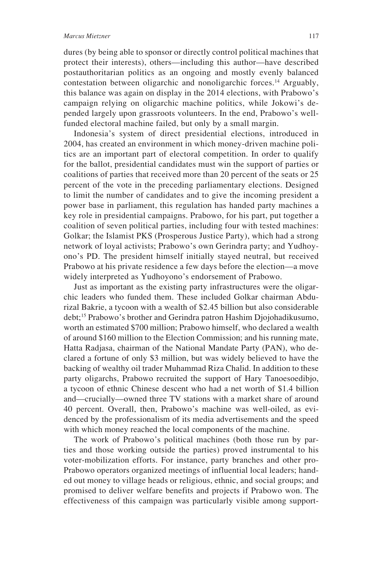dures (by being able to sponsor or directly control political machines that protect their interests), others—including this author—have described postauthoritarian politics as an ongoing and mostly evenly balanced contestation between oligarchic and nonoligarchic forces.14 Arguably, this balance was again on display in the 2014 elections, with Prabowo's campaign relying on oligarchic machine politics, while Jokowi's depended largely upon grassroots volunteers. In the end, Prabowo's wellfunded electoral machine failed, but only by a small margin.

Indonesia's system of direct presidential elections, introduced in 2004, has created an environment in which money-driven machine politics are an important part of electoral competition. In order to qualify for the ballot, presidential candidates must win the support of parties or coalitions of parties that received more than 20 percent of the seats or 25 percent of the vote in the preceding parliamentary elections. Designed to limit the number of candidates and to give the incoming president a power base in parliament, this regulation has handed party machines a key role in presidential campaigns. Prabowo, for his part, put together a coalition of seven political parties, including four with tested machines: Golkar; the Islamist PKS (Prosperous Justice Party), which had a strong network of loyal activists; Prabowo's own Gerindra party; and Yudhoyono's PD. The president himself initially stayed neutral, but received Prabowo at his private residence a few days before the election—a move widely interpreted as Yudhoyono's endorsement of Prabowo.

Just as important as the existing party infrastructures were the oligarchic leaders who funded them. These included Golkar chairman Abdurizal Bakrie, a tycoon with a wealth of \$2.45 billion but also considerable debt;15 Prabowo's brother and Gerindra patron Hashim Djojohadikusumo, worth an estimated \$700 million; Prabowo himself, who declared a wealth of around \$160 million to the Election Commission; and his running mate, Hatta Radjasa, chairman of the National Mandate Party (PAN), who declared a fortune of only \$3 million, but was widely believed to have the backing of wealthy oil trader Muhammad Riza Chalid. In addition to these party oligarchs, Prabowo recruited the support of Hary Tanoesoedibjo, a tycoon of ethnic Chinese descent who had a net worth of \$1.4 billion and—crucially—owned three TV stations with a market share of around 40 percent. Overall, then, Prabowo's machine was well-oiled, as evidenced by the professionalism of its media advertisements and the speed with which money reached the local components of the machine.

The work of Prabowo's political machines (both those run by parties and those working outside the parties) proved instrumental to his voter-mobilization efforts. For instance, party branches and other pro-Prabowo operators organized meetings of influential local leaders; handed out money to village heads or religious, ethnic, and social groups; and promised to deliver welfare benefits and projects if Prabowo won. The effectiveness of this campaign was particularly visible among support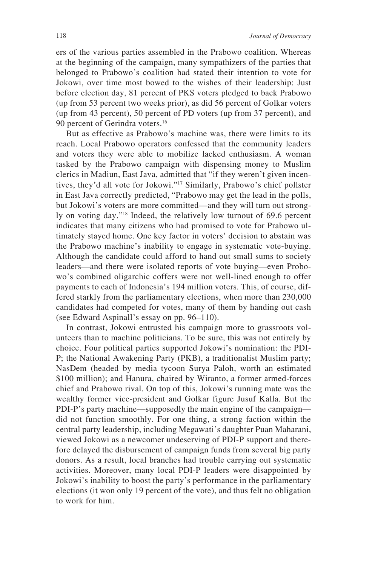ers of the various parties assembled in the Prabowo coalition. Whereas at the beginning of the campaign, many sympathizers of the parties that belonged to Prabowo's coalition had stated their intention to vote for Jokowi, over time most bowed to the wishes of their leadership: Just before election day, 81 percent of PKS voters pledged to back Prabowo (up from 53 percent two weeks prior), as did 56 percent of Golkar voters (up from 43 percent), 50 percent of PD voters (up from 37 percent), and 90 percent of Gerindra voters.<sup>16</sup>

But as effective as Prabowo's machine was, there were limits to its reach. Local Prabowo operators confessed that the community leaders and voters they were able to mobilize lacked enthusiasm. A woman tasked by the Prabowo campaign with dispensing money to Muslim clerics in Madiun, East Java, admitted that "if they weren't given incentives, they'd all vote for Jokowi."17 Similarly, Prabowo's chief pollster in East Java correctly predicted, "Prabowo may get the lead in the polls, but Jokowi's voters are more committed—and they will turn out strongly on voting day."18 Indeed, the relatively low turnout of 69.6 percent indicates that many citizens who had promised to vote for Prabowo ultimately stayed home. One key factor in voters' decision to abstain was the Prabowo machine's inability to engage in systematic vote-buying. Although the candidate could afford to hand out small sums to society leaders—and there were isolated reports of vote buying—even Probowo's combined oligarchic coffers were not well-lined enough to offer payments to each of Indonesia's 194 million voters. This, of course, differed starkly from the parliamentary elections, when more than 230,000 candidates had competed for votes, many of them by handing out cash (see Edward Aspinall's essay on pp. 96–110).

In contrast, Jokowi entrusted his campaign more to grassroots volunteers than to machine politicians. To be sure, this was not entirely by choice. Four political parties supported Jokowi's nomination: the PDI-P; the National Awakening Party (PKB), a traditionalist Muslim party; NasDem (headed by media tycoon Surya Paloh, worth an estimated \$100 million); and Hanura, chaired by Wiranto, a former armed-forces chief and Prabowo rival. On top of this, Jokowi's running mate was the wealthy former vice-president and Golkar figure Jusuf Kalla. But the PDI-P's party machine—supposedly the main engine of the campaign did not function smoothly. For one thing, a strong faction within the central party leadership, including Megawati's daughter Puan Maharani, viewed Jokowi as a newcomer undeserving of PDI-P support and therefore delayed the disbursement of campaign funds from several big party donors. As a result, local branches had trouble carrying out systematic activities. Moreover, many local PDI-P leaders were disappointed by Jokowi's inability to boost the party's performance in the parliamentary elections (it won only 19 percent of the vote), and thus felt no obligation to work for him.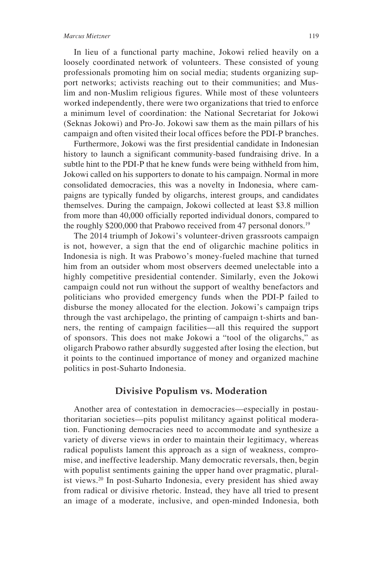In lieu of a functional party machine, Jokowi relied heavily on a loosely coordinated network of volunteers. These consisted of young professionals promoting him on social media; students organizing support networks; activists reaching out to their communities; and Muslim and non-Muslim religious figures. While most of these volunteers worked independently, there were two organizations that tried to enforce a minimum level of coordination: the National Secretariat for Jokowi (Seknas Jokowi) and Pro-Jo. Jokowi saw them as the main pillars of his campaign and often visited their local offices before the PDI-P branches.

Furthermore, Jokowi was the first presidential candidate in Indonesian history to launch a significant community-based fundraising drive. In a subtle hint to the PDI-P that he knew funds were being withheld from him, Jokowi called on his supporters to donate to his campaign. Normal in more consolidated democracies, this was a novelty in Indonesia, where campaigns are typically funded by oligarchs, interest groups, and candidates themselves. During the campaign, Jokowi collected at least \$3.8 million from more than 40,000 officially reported individual donors, compared to the roughly \$200,000 that Prabowo received from 47 personal donors.<sup>19</sup>

The 2014 triumph of Jokowi's volunteer-driven grassroots campaign is not, however, a sign that the end of oligarchic machine politics in Indonesia is nigh. It was Prabowo's money-fueled machine that turned him from an outsider whom most observers deemed unelectable into a highly competitive presidential contender. Similarly, even the Jokowi campaign could not run without the support of wealthy benefactors and politicians who provided emergency funds when the PDI-P failed to disburse the money allocated for the election. Jokowi's campaign trips through the vast archipelago, the printing of campaign t-shirts and banners, the renting of campaign facilities—all this required the support of sponsors. This does not make Jokowi a "tool of the oligarchs," as oligarch Prabowo rather absurdly suggested after losing the election, but it points to the continued importance of money and organized machine politics in post-Suharto Indonesia.

## **Divisive Populism vs. Moderation**

Another area of contestation in democracies—especially in postauthoritarian societies—pits populist militancy against political moderation. Functioning democracies need to accommodate and synthesize a variety of diverse views in order to maintain their legitimacy, whereas radical populists lament this approach as a sign of weakness, compromise, and ineffective leadership. Many democratic reversals, then, begin with populist sentiments gaining the upper hand over pragmatic, pluralist views.20 In post-Suharto Indonesia, every president has shied away from radical or divisive rhetoric. Instead, they have all tried to present an image of a moderate, inclusive, and open-minded Indonesia, both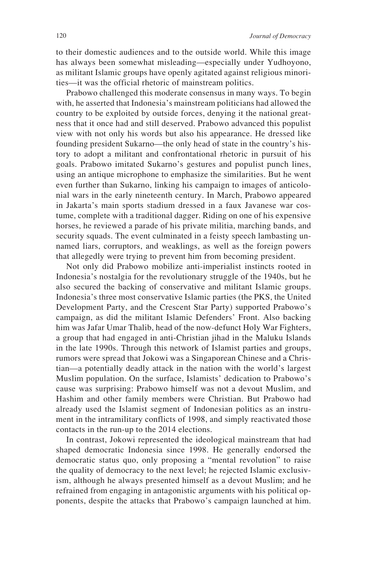to their domestic audiences and to the outside world. While this image has always been somewhat misleading—especially under Yudhoyono, as militant Islamic groups have openly agitated against religious minorities—it was the official rhetoric of mainstream politics.

Prabowo challenged this moderate consensus in many ways. To begin with, he asserted that Indonesia's mainstream politicians had allowed the country to be exploited by outside forces, denying it the national greatness that it once had and still deserved. Prabowo advanced this populist view with not only his words but also his appearance. He dressed like founding president Sukarno—the only head of state in the country's history to adopt a militant and confrontational rhetoric in pursuit of his goals. Prabowo imitated Sukarno's gestures and populist punch lines, using an antique microphone to emphasize the similarities. But he went even further than Sukarno, linking his campaign to images of anticolonial wars in the early nineteenth century. In March, Prabowo appeared in Jakarta's main sports stadium dressed in a faux Javanese war costume, complete with a traditional dagger. Riding on one of his expensive horses, he reviewed a parade of his private militia, marching bands, and security squads. The event culminated in a feisty speech lambasting unnamed liars, corruptors, and weaklings, as well as the foreign powers that allegedly were trying to prevent him from becoming president.

Not only did Prabowo mobilize anti-imperialist instincts rooted in Indonesia's nostalgia for the revolutionary struggle of the 1940s, but he also secured the backing of conservative and militant Islamic groups. Indonesia's three most conservative Islamic parties (the PKS, the United Development Party, and the Crescent Star Party) supported Prabowo's campaign, as did the militant Islamic Defenders' Front. Also backing him was Jafar Umar Thalib, head of the now-defunct Holy War Fighters, a group that had engaged in anti-Christian jihad in the Maluku Islands in the late 1990s. Through this network of Islamist parties and groups, rumors were spread that Jokowi was a Singaporean Chinese and a Christian—a potentially deadly attack in the nation with the world's largest Muslim population. On the surface, Islamists' dedication to Prabowo's cause was surprising: Prabowo himself was not a devout Muslim, and Hashim and other family members were Christian. But Prabowo had already used the Islamist segment of Indonesian politics as an instrument in the intramilitary conflicts of 1998, and simply reactivated those contacts in the run-up to the 2014 elections.

In contrast, Jokowi represented the ideological mainstream that had shaped democratic Indonesia since 1998. He generally endorsed the democratic status quo, only proposing a "mental revolution" to raise the quality of democracy to the next level; he rejected Islamic exclusivism, although he always presented himself as a devout Muslim; and he refrained from engaging in antagonistic arguments with his political opponents, despite the attacks that Prabowo's campaign launched at him.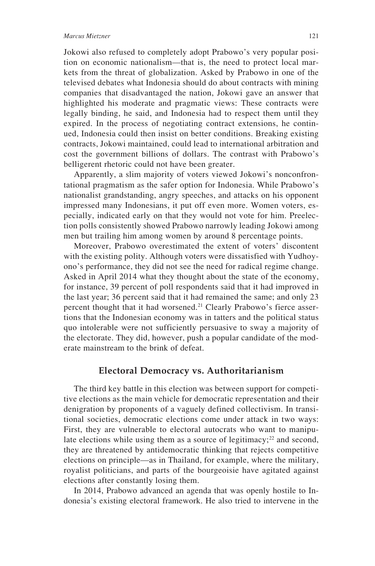Jokowi also refused to completely adopt Prabowo's very popular position on economic nationalism—that is, the need to protect local markets from the threat of globalization. Asked by Prabowo in one of the televised debates what Indonesia should do about contracts with mining companies that disadvantaged the nation, Jokowi gave an answer that highlighted his moderate and pragmatic views: These contracts were legally binding, he said, and Indonesia had to respect them until they expired. In the process of negotiating contract extensions, he continued, Indonesia could then insist on better conditions. Breaking existing contracts, Jokowi maintained, could lead to international arbitration and cost the government billions of dollars. The contrast with Prabowo's belligerent rhetoric could not have been greater.

Apparently, a slim majority of voters viewed Jokowi's nonconfrontational pragmatism as the safer option for Indonesia. While Prabowo's nationalist grandstanding, angry speeches, and attacks on his opponent impressed many Indonesians, it put off even more. Women voters, especially, indicated early on that they would not vote for him. Preelection polls consistently showed Prabowo narrowly leading Jokowi among men but trailing him among women by around 8 percentage points.

Moreover, Prabowo overestimated the extent of voters' discontent with the existing polity. Although voters were dissatisfied with Yudhoyono's performance, they did not see the need for radical regime change. Asked in April 2014 what they thought about the state of the economy, for instance, 39 percent of poll respondents said that it had improved in the last year; 36 percent said that it had remained the same; and only 23 percent thought that it had worsened.<sup>21</sup> Clearly Prabowo's fierce assertions that the Indonesian economy was in tatters and the political status quo intolerable were not sufficiently persuasive to sway a majority of the electorate. They did, however, push a popular candidate of the moderate mainstream to the brink of defeat.

## **Electoral Democracy vs. Authoritarianism**

The third key battle in this election was between support for competitive elections as the main vehicle for democratic representation and their denigration by proponents of a vaguely defined collectivism. In transitional societies, democratic elections come under attack in two ways: First, they are vulnerable to electoral autocrats who want to manipulate elections while using them as a source of legitimacy; $2<sup>2</sup>$  and second, they are threatened by antidemocratic thinking that rejects competitive elections on principle—as in Thailand, for example, where the military, royalist politicians, and parts of the bourgeoisie have agitated against elections after constantly losing them.

In 2014, Prabowo advanced an agenda that was openly hostile to Indonesia's existing electoral framework. He also tried to intervene in the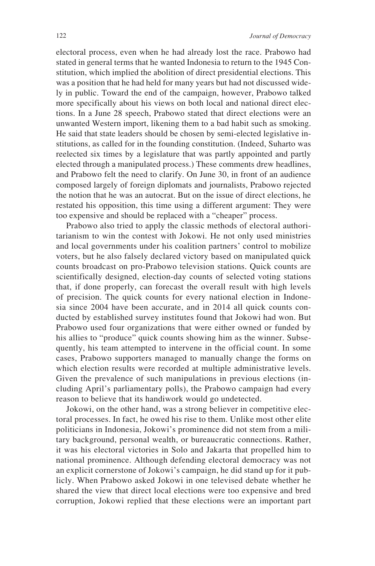electoral process, even when he had already lost the race. Prabowo had stated in general terms that he wanted Indonesia to return to the 1945 Constitution, which implied the abolition of direct presidential elections. This was a position that he had held for many years but had not discussed widely in public. Toward the end of the campaign, however, Prabowo talked more specifically about his views on both local and national direct elections. In a June 28 speech, Prabowo stated that direct elections were an unwanted Western import, likening them to a bad habit such as smoking. He said that state leaders should be chosen by semi-elected legislative institutions, as called for in the founding constitution. (Indeed, Suharto was reelected six times by a legislature that was partly appointed and partly elected through a manipulated process.) These comments drew headlines, and Prabowo felt the need to clarify. On June 30, in front of an audience composed largely of foreign diplomats and journalists, Prabowo rejected the notion that he was an autocrat. But on the issue of direct elections, he restated his opposition, this time using a different argument: They were too expensive and should be replaced with a "cheaper" process.

Prabowo also tried to apply the classic methods of electoral authoritarianism to win the contest with Jokowi. He not only used ministries and local governments under his coalition partners' control to mobilize voters, but he also falsely declared victory based on manipulated quick counts broadcast on pro-Prabowo television stations. Quick counts are scientifically designed, election-day counts of selected voting stations that, if done properly, can forecast the overall result with high levels of precision. The quick counts for every national election in Indonesia since 2004 have been accurate, and in 2014 all quick counts conducted by established survey institutes found that Jokowi had won. But Prabowo used four organizations that were either owned or funded by his allies to "produce" quick counts showing him as the winner. Subsequently, his team attempted to intervene in the official count. In some cases, Prabowo supporters managed to manually change the forms on which election results were recorded at multiple administrative levels. Given the prevalence of such manipulations in previous elections (including April's parliamentary polls), the Prabowo campaign had every reason to believe that its handiwork would go undetected.

Jokowi, on the other hand, was a strong believer in competitive electoral processes. In fact, he owed his rise to them. Unlike most other elite politicians in Indonesia, Jokowi's prominence did not stem from a military background, personal wealth, or bureaucratic connections. Rather, it was his electoral victories in Solo and Jakarta that propelled him to national prominence. Although defending electoral democracy was not an explicit cornerstone of Jokowi's campaign, he did stand up for it publicly. When Prabowo asked Jokowi in one televised debate whether he shared the view that direct local elections were too expensive and bred corruption, Jokowi replied that these elections were an important part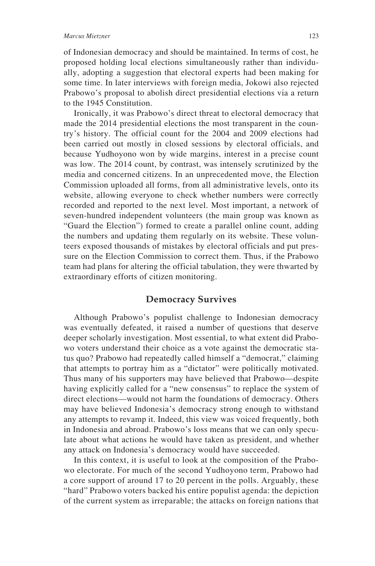of Indonesian democracy and should be maintained. In terms of cost, he proposed holding local elections simultaneously rather than individually, adopting a suggestion that electoral experts had been making for some time. In later interviews with foreign media, Jokowi also rejected Prabowo's proposal to abolish direct presidential elections via a return to the 1945 Constitution.

Ironically, it was Prabowo's direct threat to electoral democracy that made the 2014 presidential elections the most transparent in the country's history. The official count for the 2004 and 2009 elections had been carried out mostly in closed sessions by electoral officials, and because Yudhoyono won by wide margins, interest in a precise count was low. The 2014 count, by contrast, was intensely scrutinized by the media and concerned citizens. In an unprecedented move, the Election Commission uploaded all forms, from all administrative levels, onto its website, allowing everyone to check whether numbers were correctly recorded and reported to the next level. Most important, a network of seven-hundred independent volunteers (the main group was known as "Guard the Election") formed to create a parallel online count, adding the numbers and updating them regularly on its website. These volunteers exposed thousands of mistakes by electoral officials and put pressure on the Election Commission to correct them. Thus, if the Prabowo team had plans for altering the official tabulation, they were thwarted by extraordinary efforts of citizen monitoring.

## **Democracy Survives**

Although Prabowo's populist challenge to Indonesian democracy was eventually defeated, it raised a number of questions that deserve deeper scholarly investigation. Most essential, to what extent did Prabowo voters understand their choice as a vote against the democratic status quo? Prabowo had repeatedly called himself a "democrat," claiming that attempts to portray him as a "dictator" were politically motivated. Thus many of his supporters may have believed that Prabowo—despite having explicitly called for a "new consensus" to replace the system of direct elections—would not harm the foundations of democracy. Others may have believed Indonesia's democracy strong enough to withstand any attempts to revamp it. Indeed, this view was voiced frequently, both in Indonesia and abroad. Prabowo's loss means that we can only speculate about what actions he would have taken as president, and whether any attack on Indonesia's democracy would have succeeded.

In this context, it is useful to look at the composition of the Prabowo electorate. For much of the second Yudhoyono term, Prabowo had a core support of around 17 to 20 percent in the polls. Arguably, these "hard" Prabowo voters backed his entire populist agenda: the depiction of the current system as irreparable; the attacks on foreign nations that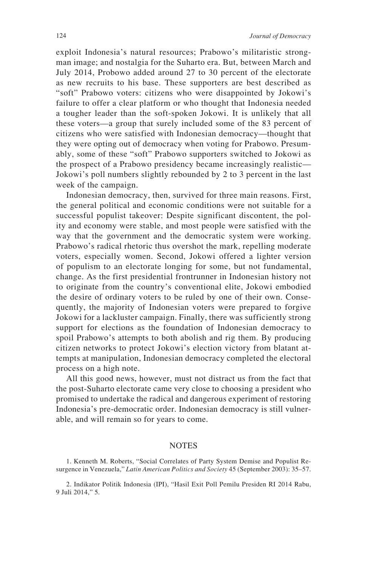exploit Indonesia's natural resources; Prabowo's militaristic strongman image; and nostalgia for the Suharto era. But, between March and July 2014, Probowo added around 27 to 30 percent of the electorate as new recruits to his base. These supporters are best described as "soft" Prabowo voters: citizens who were disappointed by Jokowi's failure to offer a clear platform or who thought that Indonesia needed a tougher leader than the soft-spoken Jokowi. It is unlikely that all these voters—a group that surely included some of the 83 percent of citizens who were satisfied with Indonesian democracy—thought that they were opting out of democracy when voting for Prabowo. Presumably, some of these "soft" Prabowo supporters switched to Jokowi as the prospect of a Prabowo presidency became increasingly realistic— Jokowi's poll numbers slightly rebounded by 2 to 3 percent in the last week of the campaign.

Indonesian democracy, then, survived for three main reasons. First, the general political and economic conditions were not suitable for a successful populist takeover: Despite significant discontent, the polity and economy were stable, and most people were satisfied with the way that the government and the democratic system were working. Prabowo's radical rhetoric thus overshot the mark, repelling moderate voters, especially women. Second, Jokowi offered a lighter version of populism to an electorate longing for some, but not fundamental, change. As the first presidential frontrunner in Indonesian history not to originate from the country's conventional elite, Jokowi embodied the desire of ordinary voters to be ruled by one of their own. Consequently, the majority of Indonesian voters were prepared to forgive Jokowi for a lackluster campaign. Finally, there was sufficiently strong support for elections as the foundation of Indonesian democracy to spoil Prabowo's attempts to both abolish and rig them. By producing citizen networks to protect Jokowi's election victory from blatant attempts at manipulation, Indonesian democracy completed the electoral process on a high note.

All this good news, however, must not distract us from the fact that the post-Suharto electorate came very close to choosing a president who promised to undertake the radical and dangerous experiment of restoring Indonesia's pre-democratic order. Indonesian democracy is still vulnerable, and will remain so for years to come.

### **NOTES**

1. Kenneth M. Roberts, "Social Correlates of Party System Demise and Populist Resurgence in Venezuela," *Latin American Politics and Society* 45 (September 2003): 35–57.

2. Indikator Politik Indonesia (IPI), "Hasil Exit Poll Pemilu Presiden RI 2014 Rabu, 9 Juli 2014," 5.